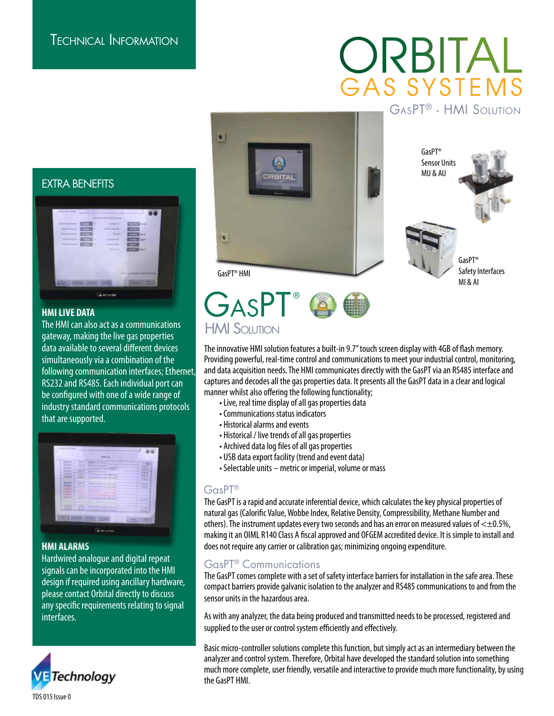# ORBITAL GAS SYSTEMS

#### EXTRA BENEFITS



#### **HMI LIVE DATA**

The HMI can also act as a communications gateway, making the live gas properties data available to several different devices simultaneously via a combination of the following communication interfaces; Ethernet, RS232 and RS485. Each individual port can be configured with one of a wide range of industry standard communications protocols that are supported.

| <b>STATISTICS</b><br><b>STATISTICS</b><br><b>Modern</b><br>--                    |                       |
|----------------------------------------------------------------------------------|-----------------------|
| <b>And Sout</b><br><b>COLOR</b><br>-<br><b>County Street</b>                     | 1.95<br>$\frac{1}{2}$ |
| <b>ALLEN</b><br>-                                                                | . .<br>144            |
| <b>MONTHS</b><br><b>STATISTICS</b><br><b>And Contract Contract Contract Con-</b> | <b>Hotel</b>          |
| <b>STATISTICS</b><br>-<br><br>÷                                                  | <br><b>HALL</b>       |
| <b>Holes</b><br><b>STATE</b><br>-                                                | 145                   |
| <b>MONTH</b>                                                                     | --                    |
| <b>B-B-H</b><br>٠<br><b>Holes</b><br><b>COLOR</b>                                | -                     |
| 31.50<br>-<br>$\sim$<br>__<br><b>The Co</b><br>-                                 | <b>STATE</b>          |
| ٠<br>--<br>-<br>.<br>٠                                                           |                       |
| __<br>$\sim$<br><b>Contract</b>                                                  |                       |
| -<br>$\sim$<br>---<br>---                                                        |                       |
|                                                                                  | ---                   |
|                                                                                  |                       |
| $\sim$<br>--                                                                     |                       |
| <b>STATISTICS</b><br>-<br>ı                                                      |                       |
| ٠<br>                                                                            |                       |

#### **HMI ALARMS**

Hardwired analogue and digital repeat signals can be incorporated into the HMI design if required using ancillary hardware, please contact Orbital directly to discuss any specific requirements relating to signal interfaces.





GASPT<sup>®</sup> **HMI SOLUTION** 

The innovative HMI solution features a built-in 9.7" touch screen display with 4GB of flash memory. Providing powerful, real-time control and communications to meet your industrial control, monitoring, and data acquisition needs. The HMI communicates directly with the GasPT via an RS485 interface and captures and decodes all the gas properties data. It presents all the GasPT data in a clear and logical manner whilst also offering the following functionality;

- Live, real time display of all gas properties data
- Communications status indicators
- Historical alarms and events
- Historical / live trends of all gas properties
- Archived data log files of all gas properties
- USB data export facility (trend and event data)
- Selectable units metric or imperial, volume or mass

#### GasPT®

The GasPT is a rapid and accurate inferential device, which calculates the key physical properties of natural gas (Calorific Value, Wobbe Index, Relative Density, Compressibility, Methane Number and others). The instrument updates every two seconds and has an error on measured values of  $<\pm 0.5\%$ , making it an OIML R140 Class A fiscal approved and OFGEM accredited device. It is simple to install and does not require any carrier or calibration gas; minimizing ongoing expenditure.

### GasPT® Communications

The GasPT comes complete with a set of safety interface barriers for installation in the safe area. These compact barriers provide galvanic isolation to the analyzer and RS485 communications to and from the sensor units in the hazardous area.

As with any analyzer, the data being produced and transmitted needs to be processed, registered and supplied to the user or control system efficiently and effectively.

Basic micro-controller solutions complete this function, but simply act as an intermediary between the analyzer and control system. Therefore, Orbital have developed the standard solution into something much more complete, user friendly, versatile and interactive to provide much more functionality, by using the GasPT HMI.